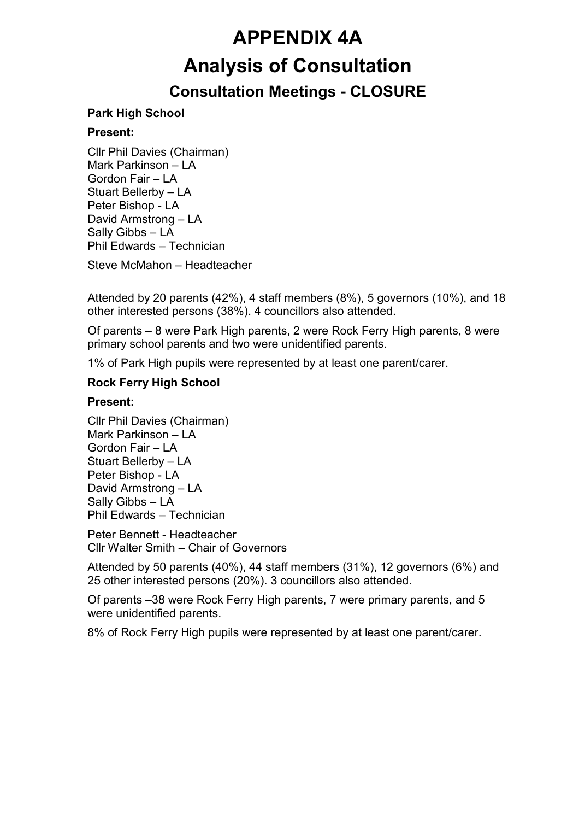# APPENDIX 4A Analysis of Consultation

## Consultation Meetings - CLOSURE

### Park High School

#### Present:

Cllr Phil Davies (Chairman) Mark Parkinson – LA Gordon Fair – LA Stuart Bellerby – LA Peter Bishop - LA David Armstrong – LA Sally Gibbs – LA Phil Edwards – Technician

Steve McMahon – Headteacher

Attended by 20 parents (42%), 4 staff members (8%), 5 governors (10%), and 18 other interested persons (38%). 4 councillors also attended.

Of parents – 8 were Park High parents, 2 were Rock Ferry High parents, 8 were primary school parents and two were unidentified parents.

1% of Park High pupils were represented by at least one parent/carer.

#### Rock Ferry High School

#### Present:

Cllr Phil Davies (Chairman) Mark Parkinson – LA Gordon Fair – LA Stuart Bellerby – LA Peter Bishop - LA David Armstrong – LA Sally Gibbs – LA Phil Edwards – Technician

Peter Bennett - Headteacher Cllr Walter Smith – Chair of Governors

Attended by 50 parents (40%), 44 staff members (31%), 12 governors (6%) and 25 other interested persons (20%). 3 councillors also attended.

Of parents –38 were Rock Ferry High parents, 7 were primary parents, and 5 were unidentified parents.

8% of Rock Ferry High pupils were represented by at least one parent/carer.